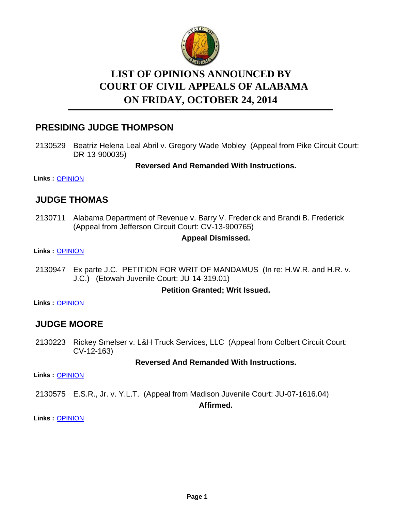

# **LIST OF OPINIONS ANNOUNCED BY ON FRIDAY, OCTOBER 24, 2014 COURT OF CIVIL APPEALS OF ALABAMA**

# **PRESIDING JUDGE THOMPSON**

2130529 Beatriz Helena Leal Abril v. Gregory Wade Mobley (Appeal from Pike Circuit Court: DR-13-900035)

**Reversed And Remanded With Instructions.**

**Links :** [OPINION](https://acis.alabama.gov/displaydocs.cfm?no=615682&event=46Z0K0MYJ)

# **JUDGE THOMAS**

2130711 Alabama Department of Revenue v. Barry V. Frederick and Brandi B. Frederick (Appeal from Jefferson Circuit Court: CV-13-900765)

### **Appeal Dismissed.**

**Links :** [OPINION](https://acis.alabama.gov/displaydocs.cfm?no=615687&event=46Z0K0NU5)

2130947 Ex parte J.C. PETITION FOR WRIT OF MANDAMUS (In re: H.W.R. and H.R. v. J.C.) (Etowah Juvenile Court: JU-14-319.01)

#### **Petition Granted; Writ Issued.**

**Links :** [OPINION](https://acis.alabama.gov/displaydocs.cfm?no=615688&event=46Z0K0NZS)

# **JUDGE MOORE**

2130223 Rickey Smelser v. L&H Truck Services, LLC (Appeal from Colbert Circuit Court: CV-12-163)

### **Reversed And Remanded With Instructions.**

**Links :** [OPINION](https://acis.alabama.gov/displaydocs.cfm?no=615679&event=46Z0K0MBZ)

2130575 E.S.R., Jr. v. Y.L.T. (Appeal from Madison Juvenile Court: JU-07-1616.04)

**Affirmed.**

**Links :** [OPINION](https://acis.alabama.gov/displaydocs.cfm?no=615683&event=46Z0K0N51)